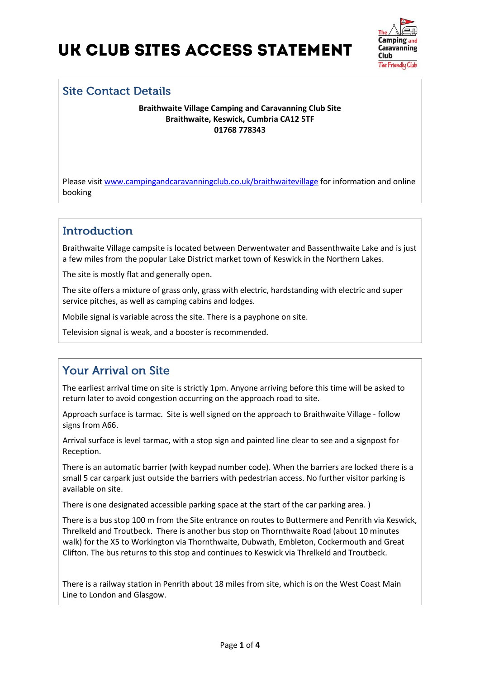

### **Site Contact Details**

**Braithwaite Village Camping and Caravanning Club Site Braithwaite, Keswick, Cumbria CA12 5TF 01768 778343** 

Please visit [www.campingandcaravanningclub.co.uk/braithwaitevillage](http://www.campingandcaravanningclub.co.uk/braithwaitevillage) for information and online booking

## **Introduction**

Braithwaite Village campsite is located between Derwentwater and Bassenthwaite Lake and is just a few miles from the popular Lake District market town of Keswick in the Northern Lakes.

The site is mostly flat and generally open.

The site offers a mixture of grass only, grass with electric, hardstanding with electric and super service pitches, as well as camping cabins and lodges.

Mobile signal is variable across the site. There is a payphone on site.

Television signal is weak, and a booster is recommended.

## **Your Arrival on Site**

The earliest arrival time on site is strictly 1pm. Anyone arriving before this time will be asked to return later to avoid congestion occurring on the approach road to site.

Approach surface is tarmac. Site is well signed on the approach to Braithwaite Village - follow signs from A66.

Arrival surface is level tarmac, with a stop sign and painted line clear to see and a signpost for Reception.

There is an automatic barrier (with keypad number code). When the barriers are locked there is a small 5 car carpark just outside the barriers with pedestrian access. No further visitor parking is available on site.

There is one designated accessible parking space at the start of the car parking area. )

There is a bus stop 100 m from the Site entrance on routes to Buttermere and Penrith via Keswick, Threlkeld and Troutbeck. There is another bus stop on Thornthwaite Road (about 10 minutes walk) for the X5 to Workington via Thornthwaite, Dubwath, Embleton, Cockermouth and Great Clifton. The bus returns to this stop and continues to Keswick via Threlkeld and Troutbeck.

There is a railway station in Penrith about 18 miles from site, which is on the West Coast Main Line to London and Glasgow.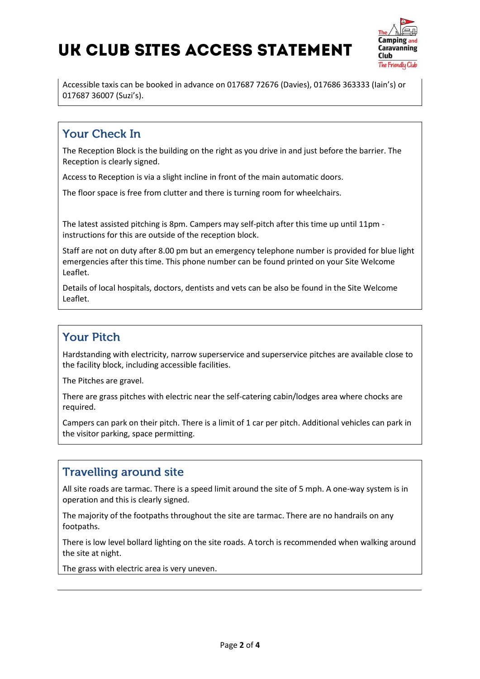

Accessible taxis can be booked in advance on 017687 72676 (Davies), 017686 363333 (Iain's) or 017687 36007 (Suzi's).

## **Your Check In**

The Reception Block is the building on the right as you drive in and just before the barrier. The Reception is clearly signed.

Access to Reception is via a slight incline in front of the main automatic doors.

The floor space is free from clutter and there is turning room for wheelchairs.

The latest assisted pitching is 8pm. Campers may self-pitch after this time up until 11pm instructions for this are outside of the reception block.

Staff are not on duty after 8.00 pm but an emergency telephone number is provided for blue light emergencies after this time. This phone number can be found printed on your Site Welcome Leaflet.

Details of local hospitals, doctors, dentists and vets can be also be found in the Site Welcome Leaflet.

### **Your Pitch**

Hardstanding with electricity, narrow superservice and superservice pitches are available close to the facility block, including accessible facilities.

The Pitches are gravel.

There are grass pitches with electric near the self-catering cabin/lodges area where chocks are required.

Campers can park on their pitch. There is a limit of 1 car per pitch. Additional vehicles can park in the visitor parking, space permitting.

### **Travelling around site**

All site roads are tarmac. There is a speed limit around the site of 5 mph. A one-way system is in operation and this is clearly signed.

The majority of the footpaths throughout the site are tarmac. There are no handrails on any footpaths.

There is low level bollard lighting on the site roads. A torch is recommended when walking around the site at night.

The grass with electric area is very uneven.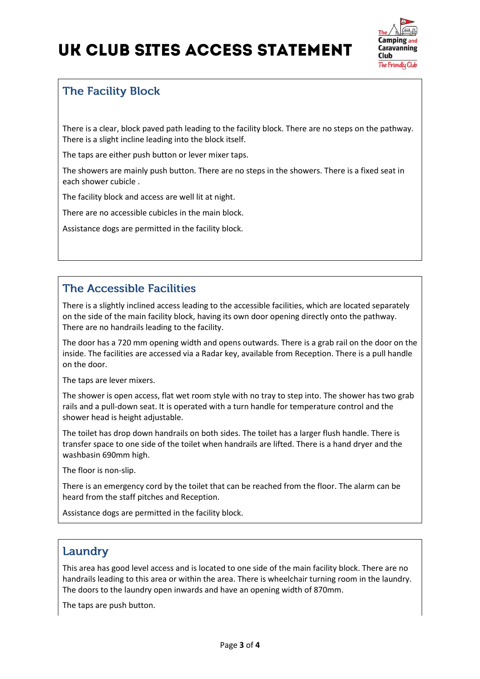

## **The Facility Block**

There is a clear, block paved path leading to the facility block. There are no steps on the pathway. There is a slight incline leading into the block itself.

The taps are either push button or lever mixer taps.

The showers are mainly push button. There are no steps in the showers. There is a fixed seat in each shower cubicle .

The facility block and access are well lit at night.

There are no accessible cubicles in the main block.

Assistance dogs are permitted in the facility block.

## **The Accessible Facilities**

There is a slightly inclined access leading to the accessible facilities, which are located separately on the side of the main facility block, having its own door opening directly onto the pathway. There are no handrails leading to the facility.

The door has a 720 mm opening width and opens outwards. There is a grab rail on the door on the inside. The facilities are accessed via a Radar key, available from Reception. There is a pull handle on the door.

The taps are lever mixers.

The shower is open access, flat wet room style with no tray to step into. The shower has two grab rails and a pull-down seat. It is operated with a turn handle for temperature control and the shower head is height adjustable.

The toilet has drop down handrails on both sides. The toilet has a larger flush handle. There is transfer space to one side of the toilet when handrails are lifted. There is a hand dryer and the washbasin 690mm high.

The floor is non-slip.

There is an emergency cord by the toilet that can be reached from the floor. The alarm can be heard from the staff pitches and Reception.

Assistance dogs are permitted in the facility block.

#### Laundry

This area has good level access and is located to one side of the main facility block. There are no handrails leading to this area or within the area. There is wheelchair turning room in the laundry. The doors to the laundry open inwards and have an opening width of 870mm.

The taps are push button.